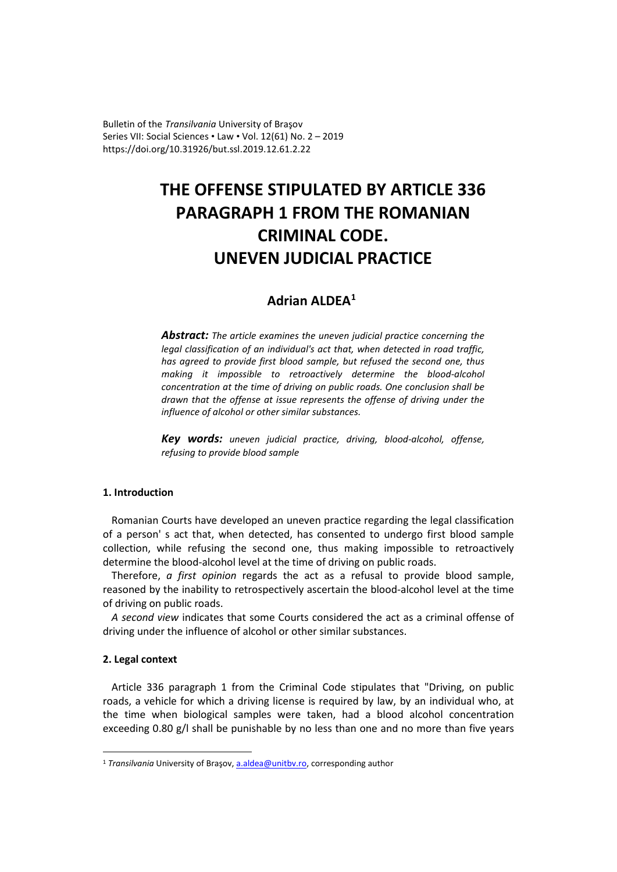Bulletin of the *Transilvania* University of Braşov Series VII: Social Sciences • Law • Vol. 12(61) No. 2 – 2019 https://doi.org/10.31926/but.ssl.2019.12.61.2.22

# **THE OFFENSE STIPULATED BY ARTICLE 336 PARAGRAPH 1 FROM THE ROMANIAN CRIMINAL CODE. UNEVEN JUDICIAL PRACTICE**

## **Adrian ALDEA[1](#page-0-0)**

*Abstract: The article examines the uneven judicial practice concerning the legal classification of an individual's act that, when detected in road traffic, has agreed to provide first blood sample, but refused the second one, thus making it impossible to retroactively determine the blood-alcohol concentration at the time of driving on public roads. One conclusion shall be drawn that the offense at issue represents the offense of driving under the influence of alcohol or other similar substances.*

*Key words: uneven judicial practice, driving, blood-alcohol, offense, refusing to provide blood sample*

### **1. Introduction**

Romanian Courts have developed an uneven practice regarding the legal classification of a person' s act that, when detected, has consented to undergo first blood sample collection, while refusing the second one, thus making impossible to retroactively determine the blood-alcohol level at the time of driving on public roads.

Therefore, *a first opinion* regards the act as a refusal to provide blood sample, reasoned by the inability to retrospectively ascertain the blood-alcohol level at the time of driving on public roads.

*A second view* indicates that some Courts considered the act as a criminal offense of driving under the influence of alcohol or other similar substances.

#### **2. Legal context**

Article 336 paragraph 1 from the Criminal Code stipulates that "Driving, on public roads, a vehicle for which a driving license is required by law, by an individual who, at the time when biological samples were taken, had a blood alcohol concentration exceeding 0.80 g/l shall be punishable by no less than one and no more than five years

<span id="page-0-0"></span><sup>&</sup>lt;sup>1</sup> *Transilvania* University of Brașov, a.aldea@unitby.ro, corresponding author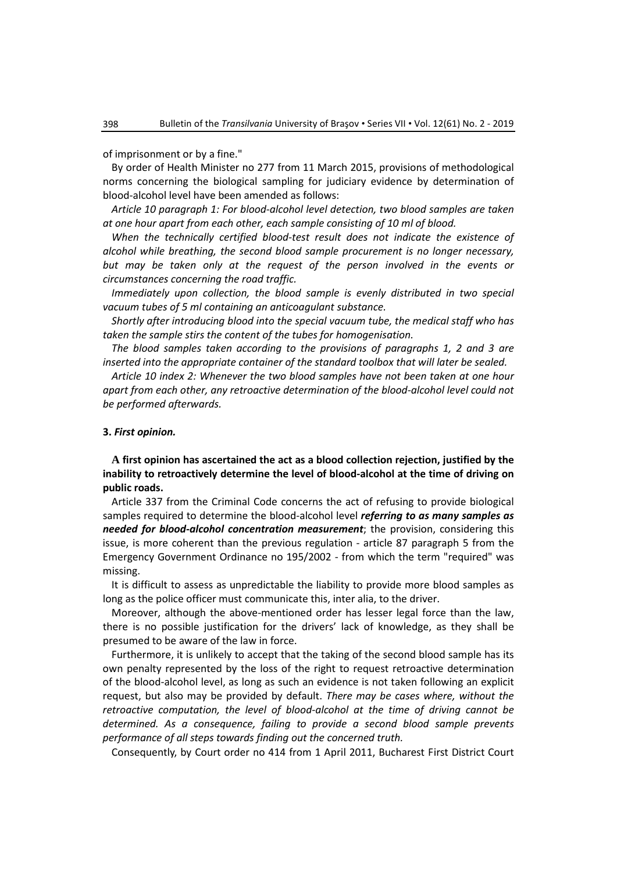of imprisonment or by a fine."

By order of Health Minister no 277 from 11 March 2015, provisions of methodological norms concerning the biological sampling for judiciary evidence by determination of blood-alcohol level have been amended as follows:

*Article 10 paragraph 1: For blood-alcohol level detection, two blood samples are taken at one hour apart from each other, each sample consisting of 10 ml of blood.*

*When the technically certified blood-test result does not indicate the existence of alcohol while breathing, the second blood sample procurement is no longer necessary,*  but may be taken only at the request of the person involved in the events or *circumstances concerning the road traffic.* 

*Immediately upon collection, the blood sample is evenly distributed in two special vacuum tubes of 5 ml containing an anticoagulant substance.* 

*Shortly after introducing blood into the special vacuum tube, the medical staff who has taken the sample stirs the content of the tubes for homogenisation.*

*The blood samples taken according to the provisions of paragraphs 1, 2 and 3 are inserted into the appropriate container of the standard toolbox that will later be sealed.*

*Article 10 index 2: Whenever the two blood samples have not been taken at one hour apart from each other, any retroactive determination of the blood-alcohol level could not be performed afterwards.*

#### **3.** *First opinion.*

**A first opinion has ascertained the act as a blood collection rejection, justified by the inability to retroactively determine the level of blood-alcohol at the time of driving on public roads.**

Article 337 from the Criminal Code concerns the act of refusing to provide biological samples required to determine the blood-alcohol level *referring to as many samples as needed for blood-alcohol concentration measurement*; the provision, considering this issue, is more coherent than the previous regulation - article 87 paragraph 5 from the Emergency Government Ordinance no 195/2002 - from which the term "required" was missing.

It is difficult to assess as unpredictable the liability to provide more blood samples as long as the police officer must communicate this, inter alia, to the driver.

Moreover, although the above-mentioned order has lesser legal force than the law, there is no possible justification for the drivers' lack of knowledge, as they shall be presumed to be aware of the law in force.

Furthermore, it is unlikely to accept that the taking of the second blood sample has its own penalty represented by the loss of the right to request retroactive determination of the blood-alcohol level, as long as such an evidence is not taken following an explicit request, but also may be provided by default. *There may be cases where, without the retroactive computation, the level of blood-alcohol at the time of driving cannot be determined. As a consequence, failing to provide a second blood sample prevents performance of all steps towards finding out the concerned truth.*

Consequently, by Court order no 414 from 1 April 2011, Bucharest First District Court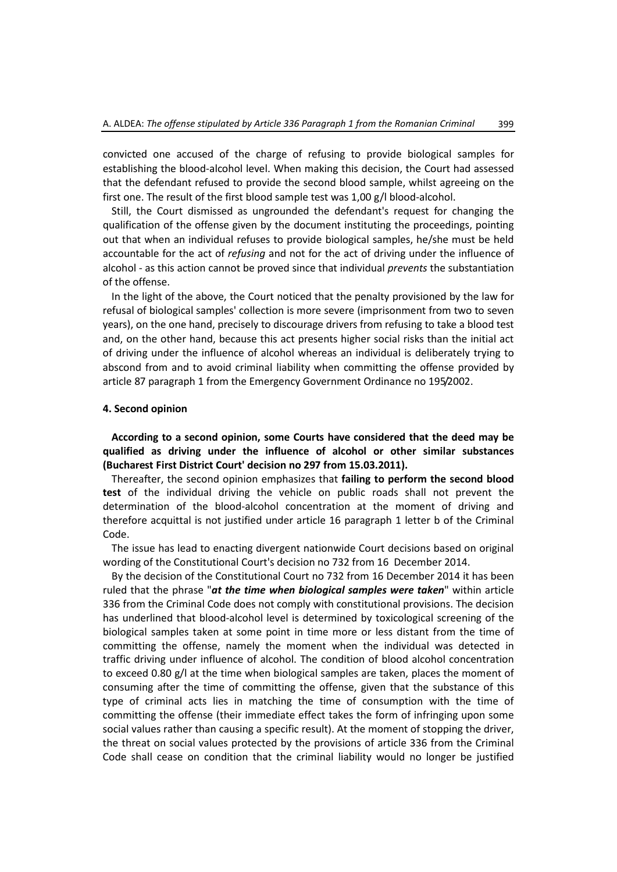convicted one accused of the charge of refusing to provide biological samples for establishing the blood-alcohol level. When making this decision, the Court had assessed that the defendant refused to provide the second blood sample, whilst agreeing on the first one. The result of the first blood sample test was 1,00 g/l blood-alcohol.

Still, the Court dismissed as ungrounded the defendant's request for changing the qualification of the offense given by the document instituting the proceedings, pointing out that when an individual refuses to provide biological samples, he/she must be held accountable for the act of *refusing* and not for the act of driving under the influence of alcohol - as this action cannot be proved since that individual *prevents* the substantiation of the offense.

In the light of the above, the Court noticed that the penalty provisioned by the law for refusal of biological samples' collection is more severe (imprisonment from two to seven years), on the one hand, precisely to discourage drivers from refusing to take a blood test and, on the other hand, because this act presents higher social risks than the initial act of driving under the influence of alcohol whereas an individual is deliberately trying to abscond from and to avoid criminal liability when committing the offense provided by article 87 paragraph 1 from the Emergency Government Ordinance no 195/2002.

#### **4. Second opinion**

**According to a second opinion, some Courts have considered that the deed may be qualified as driving under the influence of alcohol or other similar substances (Bucharest First District Court' decision no 297 from 15.03.2011).**

Thereafter, the second opinion emphasizes that **failing to perform the second blood test** of the individual driving the vehicle on public roads shall not prevent the determination of the blood-alcohol concentration at the moment of driving and therefore acquittal is not justified under article 16 paragraph 1 letter b of the Criminal Code.

The issue has lead to enacting divergent nationwide Court decisions based on original wording of the Constitutional Court's decision no 732 from 16 December 2014.

By the decision of the Constitutional Court no 732 from 16 December 2014 it has been ruled that the phrase "*at the time when biological samples were taken*" within article 336 from the Criminal Code does not comply with constitutional provisions. The decision has underlined that blood-alcohol level is determined by toxicological screening of the biological samples taken at some point in time more or less distant from the time of committing the offense, namely the moment when the individual was detected in traffic driving under influence of alcohol. The condition of blood alcohol concentration to exceed 0.80 g/l at the time when biological samples are taken, places the moment of consuming after the time of committing the offense, given that the substance of this type of criminal acts lies in matching the time of consumption with the time of committing the offense (their immediate effect takes the form of infringing upon some social values rather than causing a specific result). At the moment of stopping the driver, the threat on social values protected by the provisions of article 336 from the Criminal Code shall cease on condition that the criminal liability would no longer be justified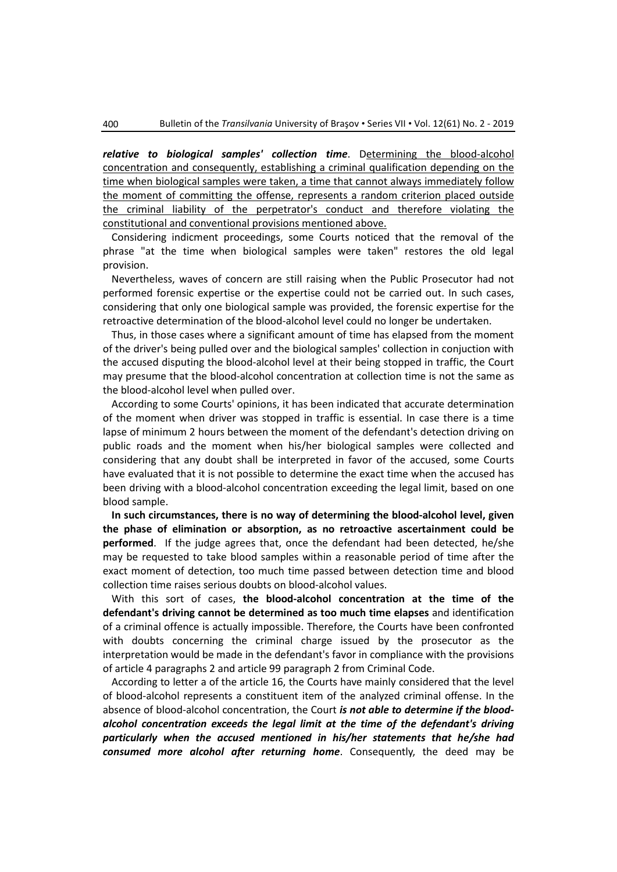*relative to biological samples' collection time*. Determining the blood-alcohol concentration and consequently, establishing a criminal qualification depending on the time when biological samples were taken, a time that cannot always immediately follow the moment of committing the offense, represents a random criterion placed outside the criminal liability of the perpetrator's conduct and therefore violating the constitutional and conventional provisions mentioned above.

Considering indicment proceedings, some Courts noticed that the removal of the phrase "at the time when biological samples were taken" restores the old legal provision.

Nevertheless, waves of concern are still raising when the Public Prosecutor had not performed forensic expertise or the expertise could not be carried out. In such cases, considering that only one biological sample was provided, the forensic expertise for the retroactive determination of the blood-alcohol level could no longer be undertaken.

Thus, in those cases where a significant amount of time has elapsed from the moment of the driver's being pulled over and the biological samples' collection in conjuction with the accused disputing the blood-alcohol level at their being stopped in traffic, the Court may presume that the blood-alcohol concentration at collection time is not the same as the blood-alcohol level when pulled over.

According to some Courts' opinions, it has been indicated that accurate determination of the moment when driver was stopped in traffic is essential. In case there is a time lapse of minimum 2 hours between the moment of the defendant's detection driving on public roads and the moment when his/her biological samples were collected and considering that any doubt shall be interpreted in favor of the accused, some Courts have evaluated that it is not possible to determine the exact time when the accused has been driving with a blood-alcohol concentration exceeding the legal limit, based on one blood sample.

**In such circumstances, there is no way of determining the blood-alcohol level, given the phase of elimination or absorption, as no retroactive ascertainment could be performed**. If the judge agrees that, once the defendant had been detected, he/she may be requested to take blood samples within a reasonable period of time after the exact moment of detection, too much time passed between detection time and blood collection time raises serious doubts on blood-alcohol values.

With this sort of cases, **the blood-alcohol concentration at the time of the defendant's driving cannot be determined as too much time elapses** and identification of a criminal offence is actually impossible. Therefore, the Courts have been confronted with doubts concerning the criminal charge issued by the prosecutor as the interpretation would be made in the defendant's favor in compliance with the provisions of article 4 paragraphs 2 and article 99 paragraph 2 from Criminal Code.

According to letter a of the article 16, the Courts have mainly considered that the level of blood-alcohol represents a constituent item of the analyzed criminal offense. In the absence of blood-alcohol concentration, the Court *is not able to determine if the bloodalcohol concentration exceeds the legal limit at the time of the defendant's driving particularly when the accused mentioned in his/her statements that he/she had consumed more alcohol after returning home*. Consequently, the deed may be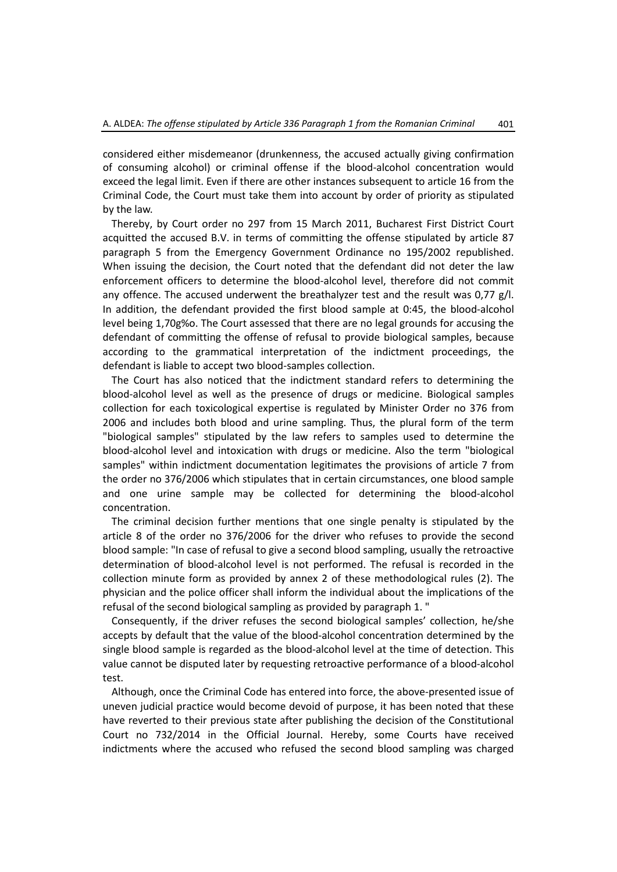considered either misdemeanor (drunkenness, the accused actually giving confirmation of consuming alcohol) or criminal offense if the blood-alcohol concentration would exceed the legal limit. Even if there are other instances subsequent to article 16 from the Criminal Code, the Court must take them into account by order of priority as stipulated by the law.

Thereby, by Court order no 297 from 15 March 2011, Bucharest First District Court acquitted the accused B.V. in terms of committing the offense stipulated by article 87 paragraph 5 from the Emergency Government Ordinance no 195/2002 republished. When issuing the decision, the Court noted that the defendant did not deter the law enforcement officers to determine the blood-alcohol level, therefore did not commit any offence. The accused underwent the breathalyzer test and the result was  $0.77$  g/l. In addition, the defendant provided the first blood sample at 0:45, the blood-alcohol level being 1,70g%o. The Court assessed that there are no legal grounds for accusing the defendant of committing the offense of refusal to provide biological samples, because according to the grammatical interpretation of the indictment proceedings, the defendant is liable to accept two blood-samples collection.

The Court has also noticed that the indictment standard refers to determining the blood-alcohol level as well as the presence of drugs or medicine. Biological samples collection for each toxicological expertise is regulated by Minister Order no 376 from 2006 and includes both blood and urine sampling. Thus, the plural form of the term "biological samples" stipulated by the law refers to samples used to determine the blood-alcohol level and intoxication with drugs or medicine. Also the term "biological samples" within indictment documentation legitimates the provisions of article 7 from the order no 376/2006 which stipulates that in certain circumstances, one blood sample and one urine sample may be collected for determining the blood-alcohol concentration.

The criminal decision further mentions that one single penalty is stipulated by the article 8 of the order no 376/2006 for the driver who refuses to provide the second blood sample: "In case of refusal to give a second blood sampling, usually the retroactive determination of blood-alcohol level is not performed. The refusal is recorded in the collection minute form as provided by annex 2 of these methodological rules (2). The physician and the police officer shall inform the individual about the implications of the refusal of the second biological sampling as provided by paragraph 1. "

Consequently, if the driver refuses the second biological samples' collection, he/she accepts by default that the value of the blood-alcohol concentration determined by the single blood sample is regarded as the blood-alcohol level at the time of detection. This value cannot be disputed later by requesting retroactive performance of a blood-alcohol test.

Although, once the Criminal Code has entered into force, the above-presented issue of uneven judicial practice would become devoid of purpose, it has been noted that these have reverted to their previous state after publishing the decision of the Constitutional Court no 732/2014 in the Official Journal. Hereby, some Courts have received indictments where the accused who refused the second blood sampling was charged